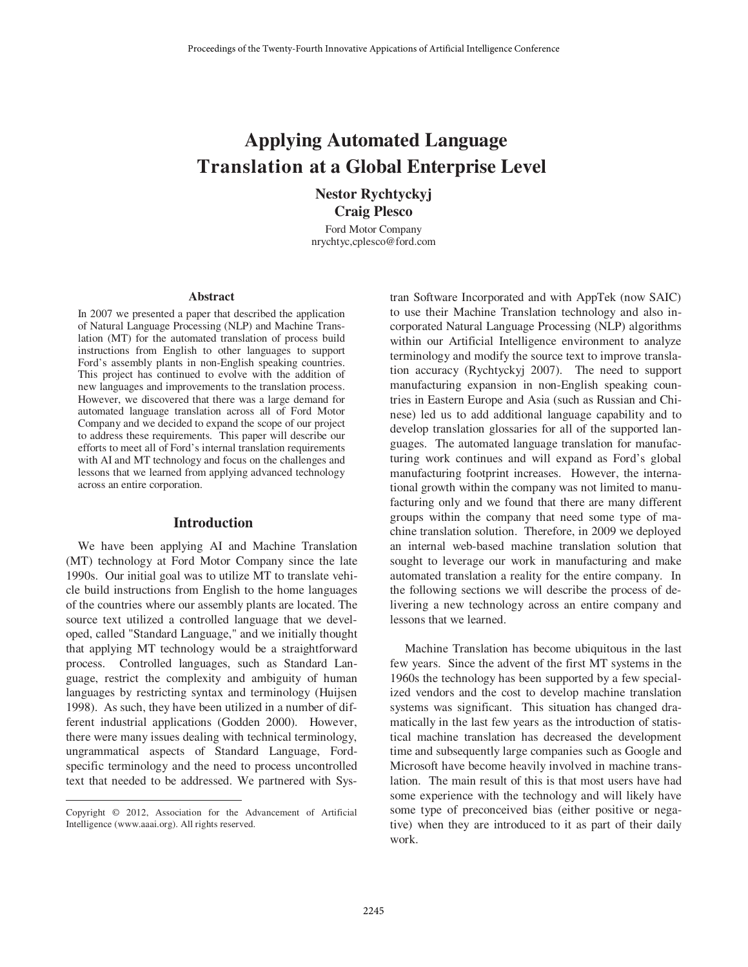# **Applying Automated Language Translation at a Global Enterprise Level**

**Nestor Rychtyckyj Craig Plesco** 

Ford Motor Company nrychtyc,cplesco@ford.com

#### **Abstract**

In 2007 we presented a paper that described the application of Natural Language Processing (NLP) and Machine Translation (MT) for the automated translation of process build instructions from English to other languages to support Ford's assembly plants in non-English speaking countries. This project has continued to evolve with the addition of new languages and improvements to the translation process. However, we discovered that there was a large demand for automated language translation across all of Ford Motor Company and we decided to expand the scope of our project to address these requirements. This paper will describe our efforts to meet all of Ford's internal translation requirements with AI and MT technology and focus on the challenges and lessons that we learned from applying advanced technology across an entire corporation.

# **Introduction**

 We have been applying AI and Machine Translation (MT) technology at Ford Motor Company since the late 1990s. Our initial goal was to utilize MT to translate vehicle build instructions from English to the home languages of the countries where our assembly plants are located. The source text utilized a controlled language that we developed, called "Standard Language," and we initially thought that applying MT technology would be a straightforward process. Controlled languages, such as Standard Language, restrict the complexity and ambiguity of human languages by restricting syntax and terminology (Huijsen 1998). As such, they have been utilized in a number of different industrial applications (Godden 2000). However, there were many issues dealing with technical terminology, ungrammatical aspects of Standard Language, Fordspecific terminology and the need to process uncontrolled text that needed to be addressed. We partnered with Sys-

-

tran Software Incorporated and with AppTek (now SAIC) to use their Machine Translation technology and also incorporated Natural Language Processing (NLP) algorithms within our Artificial Intelligence environment to analyze terminology and modify the source text to improve translation accuracy (Rychtyckyj 2007). The need to support manufacturing expansion in non-English speaking countries in Eastern Europe and Asia (such as Russian and Chinese) led us to add additional language capability and to develop translation glossaries for all of the supported languages. The automated language translation for manufacturing work continues and will expand as Ford's global manufacturing footprint increases. However, the international growth within the company was not limited to manufacturing only and we found that there are many different groups within the company that need some type of machine translation solution. Therefore, in 2009 we deployed an internal web-based machine translation solution that sought to leverage our work in manufacturing and make automated translation a reality for the entire company. In the following sections we will describe the process of delivering a new technology across an entire company and lessons that we learned.

 Machine Translation has become ubiquitous in the last few years. Since the advent of the first MT systems in the 1960s the technology has been supported by a few specialized vendors and the cost to develop machine translation systems was significant. This situation has changed dramatically in the last few years as the introduction of statistical machine translation has decreased the development time and subsequently large companies such as Google and Microsoft have become heavily involved in machine translation. The main result of this is that most users have had some experience with the technology and will likely have some type of preconceived bias (either positive or negative) when they are introduced to it as part of their daily work.

Copyright © 2012, Association for the Advancement of Artificial Intelligence (www.aaai.org). All rights reserved.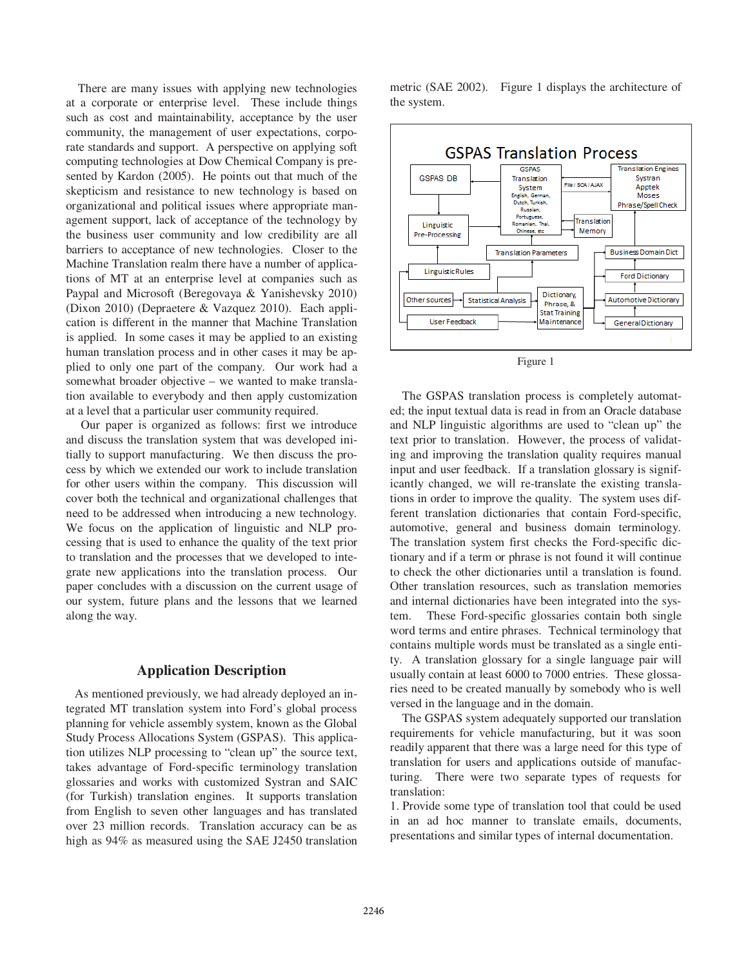There are many issues with applying new technologies at a corporate or enterprise level. These include things such as cost and maintainability, acceptance by the user community, the management of user expectations, corporate standards and support. A perspective on applying soft computing technologies at Dow Chemical Company is presented by Kardon (2005). He points out that much of the skepticism and resistance to new technology is based on organizational and political issues where appropriate management support, lack of acceptance of the technology by the business user community and low credibility are all barriers to acceptance of new technologies. Closer to the Machine Translation realm there have a number of applications of MT at an enterprise level at companies such as Paypal and Microsoft (Beregovaya & Yanishevsky 2010) (Dixon 2010) (Depraetere & Vazquez 2010). Each application is different in the manner that Machine Translation is applied. In some cases it may be applied to an existing human translation process and in other cases it may be applied to only one part of the company. Our work had a somewhat broader objective – we wanted to make translation available to everybody and then apply customization at a level that a particular user community required.

 Our paper is organized as follows: first we introduce and discuss the translation system that was developed initially to support manufacturing. We then discuss the process by which we extended our work to include translation for other users within the company. This discussion will cover both the technical and organizational challenges that need to be addressed when introducing a new technology. We focus on the application of linguistic and NLP processing that is used to enhance the quality of the text prior to translation and the processes that we developed to integrate new applications into the translation process. Our paper concludes with a discussion on the current usage of our system, future plans and the lessons that we learned along the way.

# **Application Description**

 As mentioned previously, we had already deployed an integrated MT translation system into Ford's global process planning for vehicle assembly system, known as the Global Study Process Allocations System (GSPAS). This application utilizes NLP processing to "clean up" the source text, takes advantage of Ford-specific terminology translation glossaries and works with customized Systran and SAIC (for Turkish) translation engines. It supports translation from English to seven other languages and has translated over 23 million records. Translation accuracy can be as high as 94% as measured using the SAE J2450 translation

metric (SAE 2002). Figure 1 displays the architecture of the system.



Figure 1

 The GSPAS translation process is completely automated; the input textual data is read in from an Oracle database and NLP linguistic algorithms are used to "clean up" the text prior to translation. However, the process of validating and improving the translation quality requires manual input and user feedback. If a translation glossary is significantly changed, we will re-translate the existing translations in order to improve the quality. The system uses different translation dictionaries that contain Ford-specific, automotive, general and business domain terminology. The translation system first checks the Ford-specific dictionary and if a term or phrase is not found it will continue to check the other dictionaries until a translation is found. Other translation resources, such as translation memories and internal dictionaries have been integrated into the system. These Ford-specific glossaries contain both single word terms and entire phrases. Technical terminology that contains multiple words must be translated as a single entity. A translation glossary for a single language pair will usually contain at least 6000 to 7000 entries. These glossaries need to be created manually by somebody who is well versed in the language and in the domain.

 The GSPAS system adequately supported our translation requirements for vehicle manufacturing, but it was soon readily apparent that there was a large need for this type of translation for users and applications outside of manufacturing. There were two separate types of requests for translation:

1. Provide some type of translation tool that could be used in an ad hoc manner to translate emails, documents, presentations and similar types of internal documentation.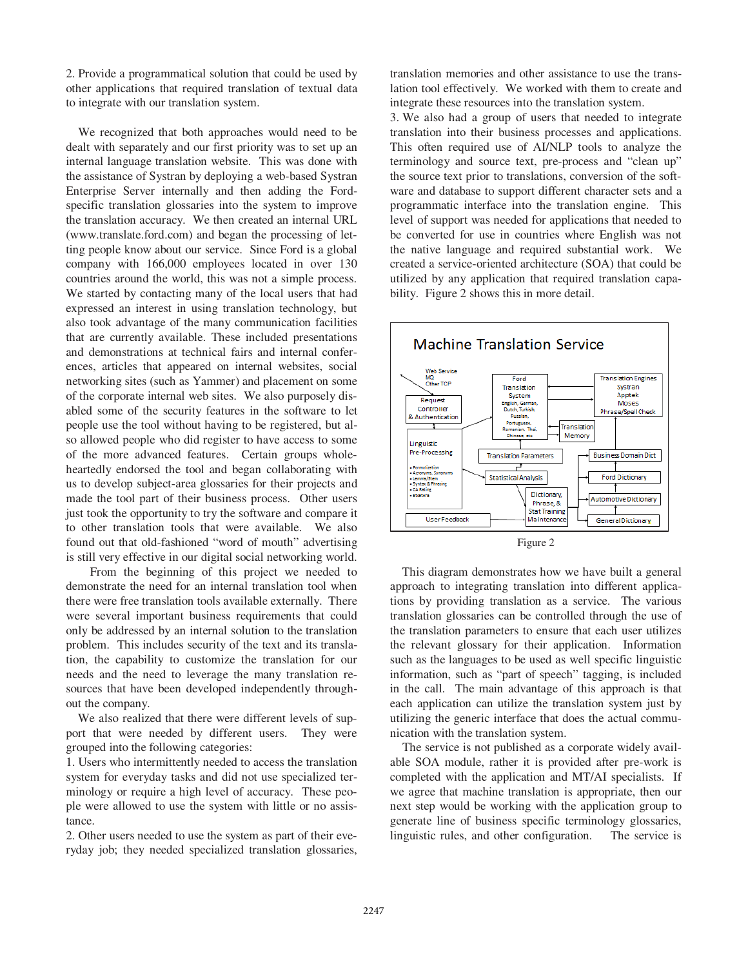2. Provide a programmatical solution that could be used by other applications that required translation of textual data to integrate with our translation system.

 We recognized that both approaches would need to be dealt with separately and our first priority was to set up an internal language translation website. This was done with the assistance of Systran by deploying a web-based Systran Enterprise Server internally and then adding the Fordspecific translation glossaries into the system to improve the translation accuracy. We then created an internal URL (www.translate.ford.com) and began the processing of letting people know about our service. Since Ford is a global company with 166,000 employees located in over 130 countries around the world, this was not a simple process. We started by contacting many of the local users that had expressed an interest in using translation technology, but also took advantage of the many communication facilities that are currently available. These included presentations and demonstrations at technical fairs and internal conferences, articles that appeared on internal websites, social networking sites (such as Yammer) and placement on some of the corporate internal web sites. We also purposely disabled some of the security features in the software to let people use the tool without having to be registered, but also allowed people who did register to have access to some of the more advanced features. Certain groups wholeheartedly endorsed the tool and began collaborating with us to develop subject-area glossaries for their projects and made the tool part of their business process. Other users just took the opportunity to try the software and compare it to other translation tools that were available. We also found out that old-fashioned "word of mouth" advertising is still very effective in our digital social networking world.

 From the beginning of this project we needed to demonstrate the need for an internal translation tool when there were free translation tools available externally. There were several important business requirements that could only be addressed by an internal solution to the translation problem. This includes security of the text and its translation, the capability to customize the translation for our needs and the need to leverage the many translation resources that have been developed independently throughout the company.

 We also realized that there were different levels of support that were needed by different users. They were grouped into the following categories:

1. Users who intermittently needed to access the translation system for everyday tasks and did not use specialized terminology or require a high level of accuracy. These people were allowed to use the system with little or no assistance.

2. Other users needed to use the system as part of their everyday job; they needed specialized translation glossaries, translation memories and other assistance to use the translation tool effectively. We worked with them to create and integrate these resources into the translation system.

3. We also had a group of users that needed to integrate translation into their business processes and applications. This often required use of AI/NLP tools to analyze the terminology and source text, pre-process and "clean up" the source text prior to translations, conversion of the software and database to support different character sets and a programmatic interface into the translation engine. This level of support was needed for applications that needed to be converted for use in countries where English was not the native language and required substantial work. We created a service-oriented architecture (SOA) that could be utilized by any application that required translation capability. Figure 2 shows this in more detail.



 This diagram demonstrates how we have built a general approach to integrating translation into different applications by providing translation as a service. The various translation glossaries can be controlled through the use of the translation parameters to ensure that each user utilizes the relevant glossary for their application. Information such as the languages to be used as well specific linguistic information, such as "part of speech" tagging, is included in the call. The main advantage of this approach is that each application can utilize the translation system just by utilizing the generic interface that does the actual communication with the translation system.

 The service is not published as a corporate widely available SOA module, rather it is provided after pre-work is completed with the application and MT/AI specialists. If we agree that machine translation is appropriate, then our next step would be working with the application group to generate line of business specific terminology glossaries, linguistic rules, and other configuration. The service is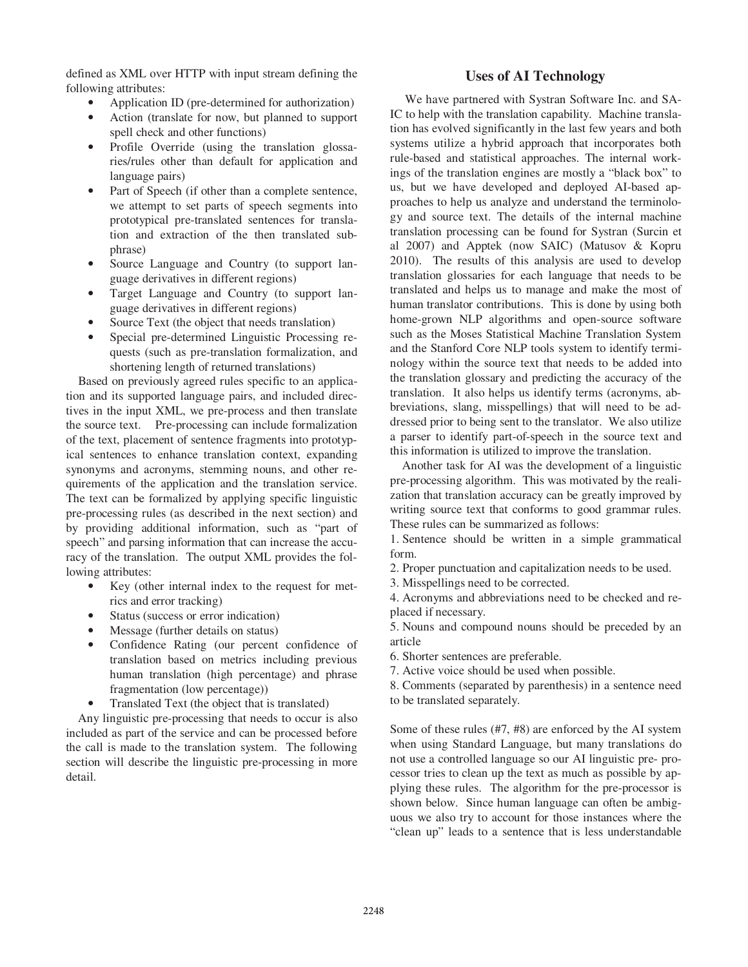defined as XML over HTTP with input stream defining the following attributes:

- Application ID (pre-determined for authorization)
- Action (translate for now, but planned to support spell check and other functions)
- Profile Override (using the translation glossaries/rules other than default for application and language pairs)
- Part of Speech (if other than a complete sentence, we attempt to set parts of speech segments into prototypical pre-translated sentences for translation and extraction of the then translated subphrase)
- Source Language and Country (to support language derivatives in different regions)
- Target Language and Country (to support language derivatives in different regions)
- Source Text (the object that needs translation)
- Special pre-determined Linguistic Processing requests (such as pre-translation formalization, and shortening length of returned translations)

 Based on previously agreed rules specific to an application and its supported language pairs, and included directives in the input XML, we pre-process and then translate the source text. Pre-processing can include formalization of the text, placement of sentence fragments into prototypical sentences to enhance translation context, expanding synonyms and acronyms, stemming nouns, and other requirements of the application and the translation service. The text can be formalized by applying specific linguistic pre-processing rules (as described in the next section) and by providing additional information, such as "part of speech" and parsing information that can increase the accuracy of the translation. The output XML provides the following attributes:

- Key (other internal index to the request for metrics and error tracking)
- Status (success or error indication)
- Message (further details on status)
- Confidence Rating (our percent confidence of translation based on metrics including previous human translation (high percentage) and phrase fragmentation (low percentage))
- Translated Text (the object that is translated)

 Any linguistic pre-processing that needs to occur is also included as part of the service and can be processed before the call is made to the translation system. The following section will describe the linguistic pre-processing in more detail.

## **Uses of AI Technology**

 We have partnered with Systran Software Inc. and SA-IC to help with the translation capability. Machine translation has evolved significantly in the last few years and both systems utilize a hybrid approach that incorporates both rule-based and statistical approaches. The internal workings of the translation engines are mostly a "black box" to us, but we have developed and deployed AI-based approaches to help us analyze and understand the terminology and source text. The details of the internal machine translation processing can be found for Systran (Surcin et al 2007) and Apptek (now SAIC) (Matusov & Kopru 2010). The results of this analysis are used to develop translation glossaries for each language that needs to be translated and helps us to manage and make the most of human translator contributions. This is done by using both home-grown NLP algorithms and open-source software such as the Moses Statistical Machine Translation System and the Stanford Core NLP tools system to identify terminology within the source text that needs to be added into the translation glossary and predicting the accuracy of the translation. It also helps us identify terms (acronyms, abbreviations, slang, misspellings) that will need to be addressed prior to being sent to the translator. We also utilize a parser to identify part-of-speech in the source text and this information is utilized to improve the translation.

 Another task for AI was the development of a linguistic pre-processing algorithm. This was motivated by the realization that translation accuracy can be greatly improved by writing source text that conforms to good grammar rules. These rules can be summarized as follows:

1. Sentence should be written in a simple grammatical form.

2. Proper punctuation and capitalization needs to be used.

3. Misspellings need to be corrected.

4. Acronyms and abbreviations need to be checked and replaced if necessary.

5. Nouns and compound nouns should be preceded by an article

6. Shorter sentences are preferable.

7. Active voice should be used when possible.

8. Comments (separated by parenthesis) in a sentence need to be translated separately.

Some of these rules (#7, #8) are enforced by the AI system when using Standard Language, but many translations do not use a controlled language so our AI linguistic pre- processor tries to clean up the text as much as possible by applying these rules. The algorithm for the pre-processor is shown below. Since human language can often be ambiguous we also try to account for those instances where the "clean up" leads to a sentence that is less understandable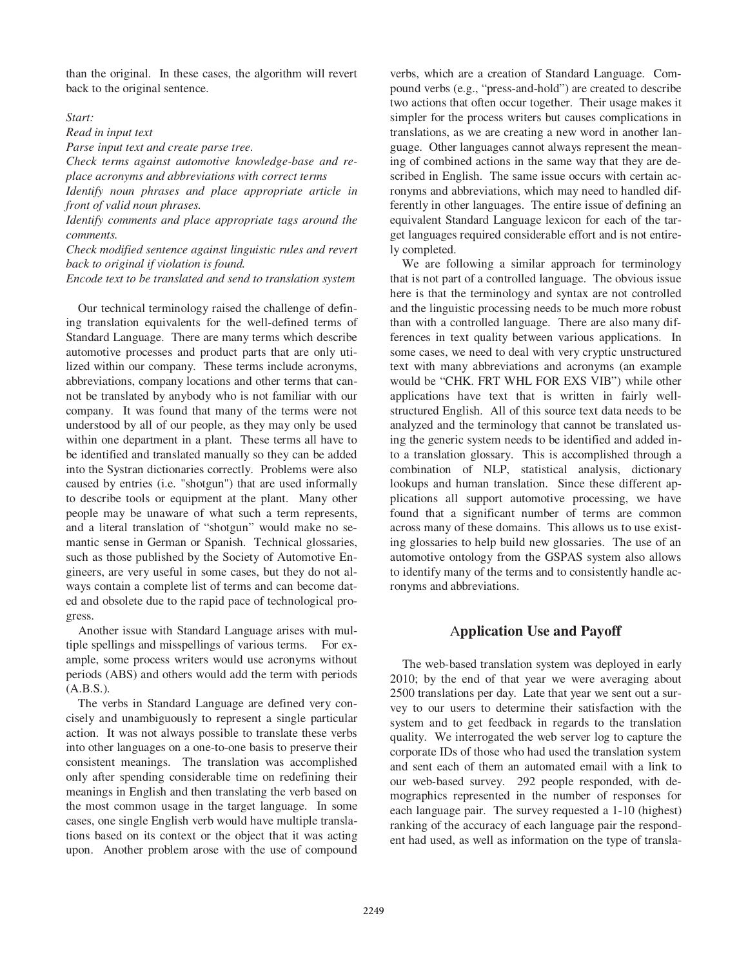than the original. In these cases, the algorithm will revert back to the original sentence.

#### *Start:*

*Read in input text* 

*Parse input text and create parse tree.* 

*Check terms against automotive knowledge-base and replace acronyms and abbreviations with correct terms* 

*Identify noun phrases and place appropriate article in front of valid noun phrases.* 

*Identify comments and place appropriate tags around the comments.* 

*Check modified sentence against linguistic rules and revert back to original if violation is found.* 

*Encode text to be translated and send to translation system* 

 Our technical terminology raised the challenge of defining translation equivalents for the well-defined terms of Standard Language. There are many terms which describe automotive processes and product parts that are only utilized within our company. These terms include acronyms, abbreviations, company locations and other terms that cannot be translated by anybody who is not familiar with our company. It was found that many of the terms were not understood by all of our people, as they may only be used within one department in a plant. These terms all have to be identified and translated manually so they can be added into the Systran dictionaries correctly. Problems were also caused by entries (i.e. "shotgun") that are used informally to describe tools or equipment at the plant. Many other people may be unaware of what such a term represents, and a literal translation of "shotgun" would make no semantic sense in German or Spanish. Technical glossaries, such as those published by the Society of Automotive Engineers, are very useful in some cases, but they do not always contain a complete list of terms and can become dated and obsolete due to the rapid pace of technological progress.

 Another issue with Standard Language arises with multiple spellings and misspellings of various terms. For example, some process writers would use acronyms without periods (ABS) and others would add the term with periods (A.B.S.).

 The verbs in Standard Language are defined very concisely and unambiguously to represent a single particular action. It was not always possible to translate these verbs into other languages on a one-to-one basis to preserve their consistent meanings. The translation was accomplished only after spending considerable time on redefining their meanings in English and then translating the verb based on the most common usage in the target language. In some cases, one single English verb would have multiple translations based on its context or the object that it was acting upon. Another problem arose with the use of compound

verbs, which are a creation of Standard Language. Compound verbs (e.g., "press-and-hold") are created to describe two actions that often occur together. Their usage makes it simpler for the process writers but causes complications in translations, as we are creating a new word in another language. Other languages cannot always represent the meaning of combined actions in the same way that they are described in English. The same issue occurs with certain acronyms and abbreviations, which may need to handled differently in other languages. The entire issue of defining an equivalent Standard Language lexicon for each of the target languages required considerable effort and is not entirely completed.

 We are following a similar approach for terminology that is not part of a controlled language. The obvious issue here is that the terminology and syntax are not controlled and the linguistic processing needs to be much more robust than with a controlled language. There are also many differences in text quality between various applications. In some cases, we need to deal with very cryptic unstructured text with many abbreviations and acronyms (an example would be "CHK. FRT WHL FOR EXS VIB") while other applications have text that is written in fairly wellstructured English. All of this source text data needs to be analyzed and the terminology that cannot be translated using the generic system needs to be identified and added into a translation glossary. This is accomplished through a combination of NLP, statistical analysis, dictionary lookups and human translation. Since these different applications all support automotive processing, we have found that a significant number of terms are common across many of these domains. This allows us to use existing glossaries to help build new glossaries. The use of an automotive ontology from the GSPAS system also allows to identify many of the terms and to consistently handle acronyms and abbreviations.

# A**pplication Use and Payoff**

 The web-based translation system was deployed in early 2010; by the end of that year we were averaging about 2500 translations per day. Late that year we sent out a survey to our users to determine their satisfaction with the system and to get feedback in regards to the translation quality. We interrogated the web server log to capture the corporate IDs of those who had used the translation system and sent each of them an automated email with a link to our web-based survey. 292 people responded, with demographics represented in the number of responses for each language pair. The survey requested a 1-10 (highest) ranking of the accuracy of each language pair the respondent had used, as well as information on the type of transla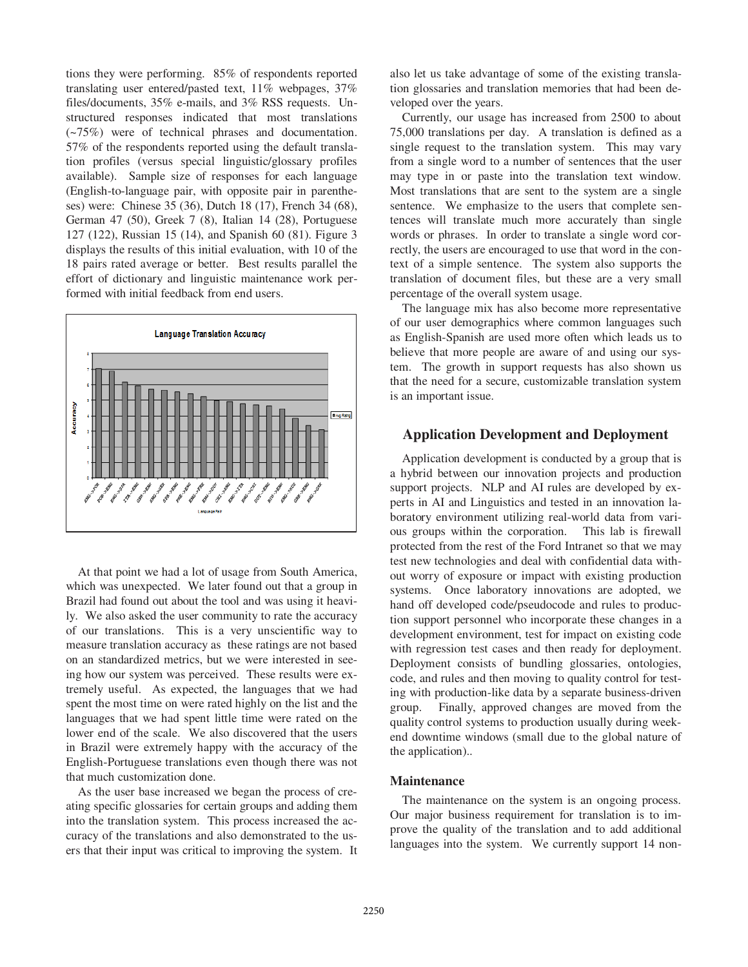tions they were performing. 85% of respondents reported translating user entered/pasted text, 11% webpages, 37% files/documents, 35% e-mails, and 3% RSS requests. Unstructured responses indicated that most translations (~75%) were of technical phrases and documentation. 57% of the respondents reported using the default translation profiles (versus special linguistic/glossary profiles available). Sample size of responses for each language (English-to-language pair, with opposite pair in parentheses) were: Chinese 35 (36), Dutch 18 (17), French 34 (68), German 47 (50), Greek 7 (8), Italian 14 (28), Portuguese 127 (122), Russian 15 (14), and Spanish 60 (81). Figure 3 displays the results of this initial evaluation, with 10 of the 18 pairs rated average or better. Best results parallel the effort of dictionary and linguistic maintenance work performed with initial feedback from end users.



 At that point we had a lot of usage from South America, which was unexpected. We later found out that a group in Brazil had found out about the tool and was using it heavily. We also asked the user community to rate the accuracy of our translations. This is a very unscientific way to measure translation accuracy as these ratings are not based on an standardized metrics, but we were interested in seeing how our system was perceived. These results were extremely useful. As expected, the languages that we had spent the most time on were rated highly on the list and the languages that we had spent little time were rated on the lower end of the scale. We also discovered that the users in Brazil were extremely happy with the accuracy of the English-Portuguese translations even though there was not that much customization done.

 As the user base increased we began the process of creating specific glossaries for certain groups and adding them into the translation system. This process increased the accuracy of the translations and also demonstrated to the users that their input was critical to improving the system. It also let us take advantage of some of the existing translation glossaries and translation memories that had been developed over the years.

 Currently, our usage has increased from 2500 to about 75,000 translations per day. A translation is defined as a single request to the translation system. This may vary from a single word to a number of sentences that the user may type in or paste into the translation text window. Most translations that are sent to the system are a single sentence. We emphasize to the users that complete sentences will translate much more accurately than single words or phrases. In order to translate a single word correctly, the users are encouraged to use that word in the context of a simple sentence. The system also supports the translation of document files, but these are a very small percentage of the overall system usage.

 The language mix has also become more representative of our user demographics where common languages such as English-Spanish are used more often which leads us to believe that more people are aware of and using our system. The growth in support requests has also shown us that the need for a secure, customizable translation system is an important issue.

#### **Application Development and Deployment**

 Application development is conducted by a group that is a hybrid between our innovation projects and production support projects. NLP and AI rules are developed by experts in AI and Linguistics and tested in an innovation laboratory environment utilizing real-world data from various groups within the corporation. This lab is firewall protected from the rest of the Ford Intranet so that we may test new technologies and deal with confidential data without worry of exposure or impact with existing production systems. Once laboratory innovations are adopted, we hand off developed code/pseudocode and rules to production support personnel who incorporate these changes in a development environment, test for impact on existing code with regression test cases and then ready for deployment. Deployment consists of bundling glossaries, ontologies, code, and rules and then moving to quality control for testing with production-like data by a separate business-driven group. Finally, approved changes are moved from the quality control systems to production usually during weekend downtime windows (small due to the global nature of the application)..

#### **Maintenance**

 The maintenance on the system is an ongoing process. Our major business requirement for translation is to improve the quality of the translation and to add additional languages into the system. We currently support 14 non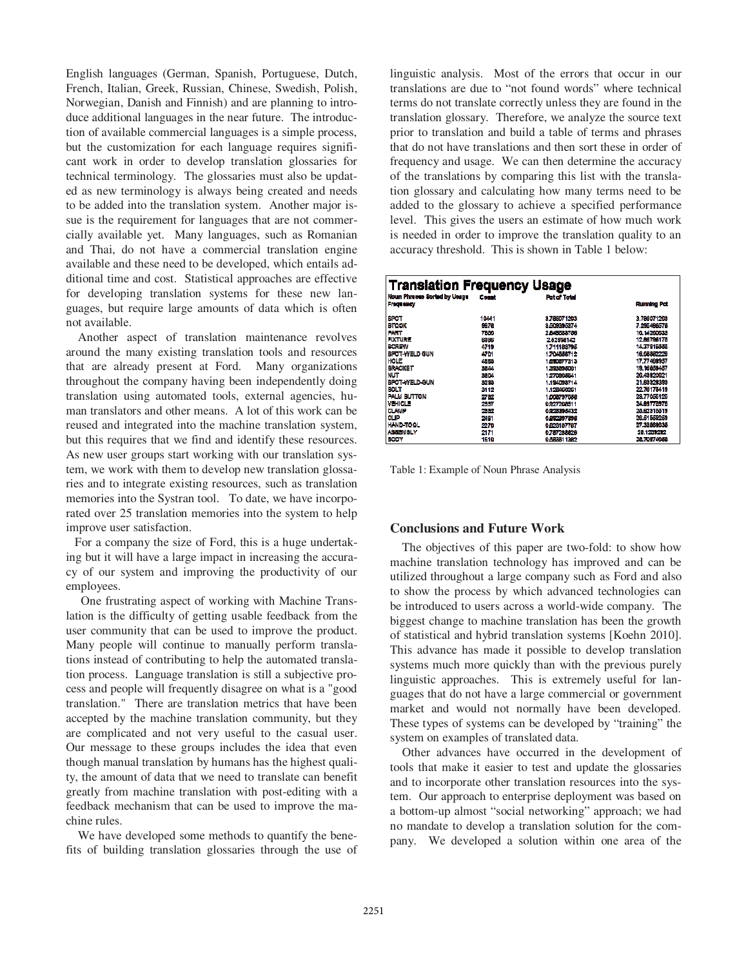English languages (German, Spanish, Portuguese, Dutch, French, Italian, Greek, Russian, Chinese, Swedish, Polish, Norwegian, Danish and Finnish) and are planning to introduce additional languages in the near future. The introduction of available commercial languages is a simple process, but the customization for each language requires significant work in order to develop translation glossaries for technical terminology. The glossaries must also be updated as new terminology is always being created and needs to be added into the translation system. Another major issue is the requirement for languages that are not commercially available yet. Many languages, such as Romanian and Thai, do not have a commercial translation engine available and these need to be developed, which entails additional time and cost. Statistical approaches are effective for developing translation systems for these new languages, but require large amounts of data which is often not available.

 Another aspect of translation maintenance revolves around the many existing translation tools and resources that are already present at Ford. Many organizations throughout the company having been independently doing translation using automated tools, external agencies, human translators and other means. A lot of this work can be reused and integrated into the machine translation system, but this requires that we find and identify these resources. As new user groups start working with our translation system, we work with them to develop new translation glossaries and to integrate existing resources, such as translation memories into the Systran tool. To date, we have incorporated over 25 translation memories into the system to help improve user satisfaction.

 For a company the size of Ford, this is a huge undertaking but it will have a large impact in increasing the accuracy of our system and improving the productivity of our employees.

 One frustrating aspect of working with Machine Translation is the difficulty of getting usable feedback from the user community that can be used to improve the product. Many people will continue to manually perform translations instead of contributing to help the automated translation process. Language translation is still a subjective process and people will frequently disagree on what is a "good translation." There are translation metrics that have been accepted by the machine translation community, but they are complicated and not very useful to the casual user. Our message to these groups includes the idea that even though manual translation by humans has the highest quality, the amount of data that we need to translate can benefit greatly from machine translation with post-editing with a feedback mechanism that can be used to improve the machine rules.

 We have developed some methods to quantify the benefits of building translation glossaries through the use of linguistic analysis. Most of the errors that occur in our translations are due to "not found words" where technical terms do not translate correctly unless they are found in the translation glossary. Therefore, we analyze the source text prior to translation and build a table of terms and phrases that do not have translations and then sort these in order of frequency and usage. We can then determine the accuracy of the translations by comparing this list with the translation glossary and calculating how many terms need to be added to the glossary to achieve a specified performance level. This gives the users an estimate of how much work is needed in order to improve the translation quality to an accuracy threshold. This is shown in Table 1 below:

| <b>Translation Frequency Usage</b>        |               |              |               |
|-------------------------------------------|---------------|--------------|---------------|
| Noun Phrases Sorted by Usage<br>Frequency | Count         | Pat of Total | Running Pet   |
| <b>SPOT</b>                               | 10441         | 3.78071203   | 3,788071200   |
| <b>STOCK</b>                              | 987B          | 3.500005374  | 7 295 4885 78 |
| PART                                      | 79633         | 2848633756   | 10.14200033   |
| <b>FIXTURE</b>                            | <b>DOM: N</b> | 2.62698142   | 12.86798176   |
| <b>SCREW</b>                              | 4710          | 1711183795   | 14.37916555   |
| <b>SPOT WELD GUN</b>                      | 4701          | 1704856712   | 16.08382228   |
| HOLE                                      | 48263         | 188877313    | 17.77469957   |
| <b>BRACKET</b>                            | 3944          | 1390995001   | 19.16859467   |
| NUT                                       | 2224          | 1270505641   | 20.43920021   |
| <b>SPOT WELD GUN</b>                      | 3253          | 1.194093714  | 21.83328383   |
| <b>BOLT</b>                               | 3112          | 1.129460261  | 22.76176419   |
| <b>PALM BUTTON</b>                        | 2792          | 1.006797058  | 23.77056126   |
| VEHICLE                                   | 257           | 0.927200511  | 24.89775978   |
| <b>CLAMP</b>                              | 262           | 0.925305432  | 25.62315519   |
| <b>CLIP</b>                               | 2461          | 0.802307308  | 28.61666269   |
| HAND TOOL                                 | 2270          | 0.823137767  | 27.33869008   |
| <b>ASSEMBLY</b>                           | 2171          | 0.787238828  | 28.12.20202   |
| BODY                                      | 1610          | 0.580811382  | 28.70974058   |

Table 1: Example of Noun Phrase Analysis

#### **Conclusions and Future Work**

 The objectives of this paper are two-fold: to show how machine translation technology has improved and can be utilized throughout a large company such as Ford and also to show the process by which advanced technologies can be introduced to users across a world-wide company. The biggest change to machine translation has been the growth of statistical and hybrid translation systems [Koehn 2010]. This advance has made it possible to develop translation systems much more quickly than with the previous purely linguistic approaches. This is extremely useful for languages that do not have a large commercial or government market and would not normally have been developed. These types of systems can be developed by "training" the system on examples of translated data.

 Other advances have occurred in the development of tools that make it easier to test and update the glossaries and to incorporate other translation resources into the system. Our approach to enterprise deployment was based on a bottom-up almost "social networking" approach; we had no mandate to develop a translation solution for the company. We developed a solution within one area of the